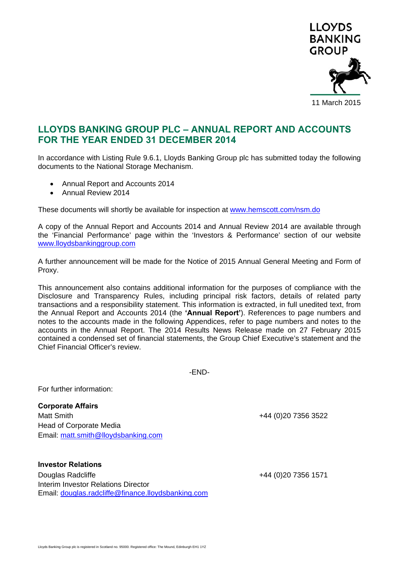

# **LLOYDS BANKING GROUP PLC – ANNUAL REPORT AND ACCOUNTS FOR THE YEAR ENDED 31 DECEMBER 2014**

In accordance with Listing Rule 9.6.1, Lloyds Banking Group plc has submitted today the following documents to the National Storage Mechanism.

- Annual Report and Accounts 2014
- Annual Review 2014

These documents will shortly be available for inspection at www.hemscott.com/nsm.do

A copy of the Annual Report and Accounts 2014 and Annual Review 2014 are available through the 'Financial Performance' page within the 'Investors & Performance' section of our website www.lloydsbankinggroup.com

A further announcement will be made for the Notice of 2015 Annual General Meeting and Form of Proxy.

This announcement also contains additional information for the purposes of compliance with the Disclosure and Transparency Rules, including principal risk factors, details of related party transactions and a responsibility statement. This information is extracted, in full unedited text, from the Annual Report and Accounts 2014 (the **'Annual Report'**). References to page numbers and notes to the accounts made in the following Appendices, refer to page numbers and notes to the accounts in the Annual Report. The 2014 Results News Release made on 27 February 2015 contained a condensed set of financial statements, the Group Chief Executive's statement and the Chief Financial Officer's review.

-END-

For further information:

**Corporate Affairs**  Matt Smith +44 (0)20 7356 3522 Head of Corporate Media Email: matt.smith@lloydsbanking.com

**Investor Relations**  Douglas Radcliffe +44 (0)20 7356 1571 Interim Investor Relations Director Email: douglas.radcliffe@finance.lloydsbanking.com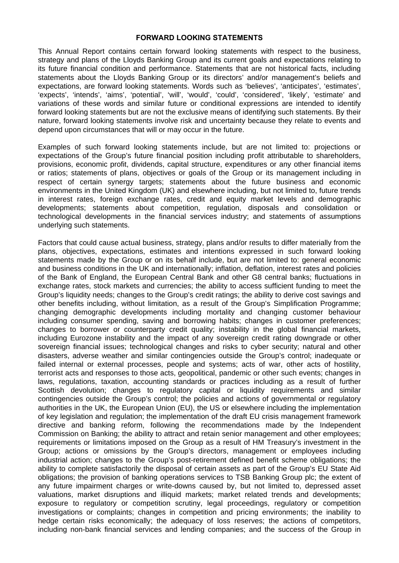## **FORWARD LOOKING STATEMENTS**

This Annual Report contains certain forward looking statements with respect to the business, strategy and plans of the Lloyds Banking Group and its current goals and expectations relating to its future financial condition and performance. Statements that are not historical facts, including statements about the Lloyds Banking Group or its directors' and/or management's beliefs and expectations, are forward looking statements. Words such as 'believes', 'anticipates', 'estimates', 'expects', 'intends', 'aims', 'potential', 'will', 'would', 'could', 'considered', 'likely', 'estimate' and variations of these words and similar future or conditional expressions are intended to identify forward looking statements but are not the exclusive means of identifying such statements. By their nature, forward looking statements involve risk and uncertainty because they relate to events and depend upon circumstances that will or may occur in the future.

Examples of such forward looking statements include, but are not limited to: projections or expectations of the Group's future financial position including profit attributable to shareholders, provisions, economic profit, dividends, capital structure, expenditures or any other financial items or ratios; statements of plans, objectives or goals of the Group or its management including in respect of certain synergy targets; statements about the future business and economic environments in the United Kingdom (UK) and elsewhere including, but not limited to, future trends in interest rates, foreign exchange rates, credit and equity market levels and demographic developments; statements about competition, regulation, disposals and consolidation or technological developments in the financial services industry; and statements of assumptions underlying such statements.

Factors that could cause actual business, strategy, plans and/or results to differ materially from the plans, objectives, expectations, estimates and intentions expressed in such forward looking statements made by the Group or on its behalf include, but are not limited to: general economic and business conditions in the UK and internationally; inflation, deflation, interest rates and policies of the Bank of England, the European Central Bank and other G8 central banks; fluctuations in exchange rates, stock markets and currencies; the ability to access sufficient funding to meet the Group's liquidity needs; changes to the Group's credit ratings; the ability to derive cost savings and other benefits including, without limitation, as a result of the Group's Simplification Programme; changing demographic developments including mortality and changing customer behaviour including consumer spending, saving and borrowing habits; changes in customer preferences; changes to borrower or counterparty credit quality; instability in the global financial markets, including Eurozone instability and the impact of any sovereign credit rating downgrade or other sovereign financial issues; technological changes and risks to cyber security; natural and other disasters, adverse weather and similar contingencies outside the Group's control; inadequate or failed internal or external processes, people and systems; acts of war, other acts of hostility, terrorist acts and responses to those acts, geopolitical, pandemic or other such events; changes in laws, regulations, taxation, accounting standards or practices including as a result of further Scottish devolution; changes to regulatory capital or liquidity requirements and similar contingencies outside the Group's control; the policies and actions of governmental or regulatory authorities in the UK, the European Union (EU), the US or elsewhere including the implementation of key legislation and regulation; the implementation of the draft EU crisis management framework directive and banking reform, following the recommendations made by the Independent Commission on Banking; the ability to attract and retain senior management and other employees; requirements or limitations imposed on the Group as a result of HM Treasury's investment in the Group; actions or omissions by the Group's directors, management or employees including industrial action; changes to the Group's post-retirement defined benefit scheme obligations; the ability to complete satisfactorily the disposal of certain assets as part of the Group's EU State Aid obligations; the provision of banking operations services to TSB Banking Group plc; the extent of any future impairment charges or write-downs caused by, but not limited to, depressed asset valuations, market disruptions and illiquid markets; market related trends and developments; exposure to regulatory or competition scrutiny, legal proceedings, regulatory or competition investigations or complaints; changes in competition and pricing environments; the inability to hedge certain risks economically; the adequacy of loss reserves; the actions of competitors, including non-bank financial services and lending companies; and the success of the Group in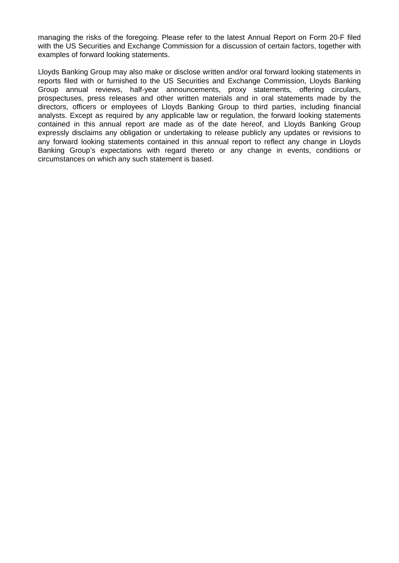managing the risks of the foregoing. Please refer to the latest Annual Report on Form 20-F filed with the US Securities and Exchange Commission for a discussion of certain factors, together with examples of forward looking statements.

Lloyds Banking Group may also make or disclose written and/or oral forward looking statements in reports filed with or furnished to the US Securities and Exchange Commission, Lloyds Banking Group annual reviews, half-year announcements, proxy statements, offering circulars, prospectuses, press releases and other written materials and in oral statements made by the directors, officers or employees of Lloyds Banking Group to third parties, including financial analysts. Except as required by any applicable law or regulation, the forward looking statements contained in this annual report are made as of the date hereof, and Lloyds Banking Group expressly disclaims any obligation or undertaking to release publicly any updates or revisions to any forward looking statements contained in this annual report to reflect any change in Lloyds Banking Group's expectations with regard thereto or any change in events, conditions or circumstances on which any such statement is based.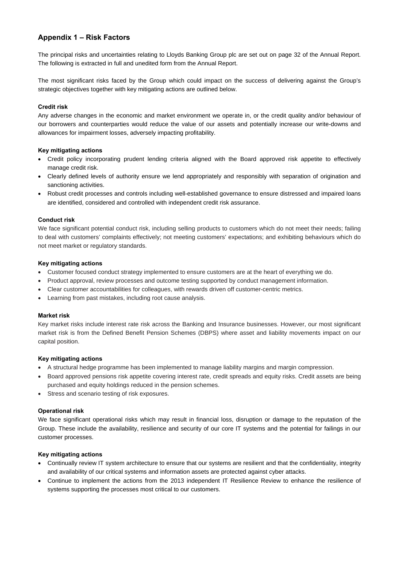## **Appendix 1 – Risk Factors**

The principal risks and uncertainties relating to Lloyds Banking Group plc are set out on page 32 of the Annual Report. The following is extracted in full and unedited form from the Annual Report.

The most significant risks faced by the Group which could impact on the success of delivering against the Group's strategic objectives together with key mitigating actions are outlined below.

## **Credit risk**

Any adverse changes in the economic and market environment we operate in, or the credit quality and/or behaviour of our borrowers and counterparties would reduce the value of our assets and potentially increase our write-downs and allowances for impairment losses, adversely impacting profitability.

## **Key mitigating actions**

- Credit policy incorporating prudent lending criteria aligned with the Board approved risk appetite to effectively manage credit risk.
- Clearly defined levels of authority ensure we lend appropriately and responsibly with separation of origination and sanctioning activities.
- Robust credit processes and controls including well-established governance to ensure distressed and impaired loans are identified, considered and controlled with independent credit risk assurance.

### **Conduct risk**

We face significant potential conduct risk, including selling products to customers which do not meet their needs; failing to deal with customers' complaints effectively; not meeting customers' expectations; and exhibiting behaviours which do not meet market or regulatory standards.

### **Key mitigating actions**

- Customer focused conduct strategy implemented to ensure customers are at the heart of everything we do.
- Product approval, review processes and outcome testing supported by conduct management information.
- Clear customer accountabilities for colleagues, with rewards driven off customer-centric metrics.
- Learning from past mistakes, including root cause analysis.

### **Market risk**

Key market risks include interest rate risk across the Banking and Insurance businesses. However, our most significant market risk is from the Defined Benefit Pension Schemes (DBPS) where asset and liability movements impact on our capital position.

### **Key mitigating actions**

- A structural hedge programme has been implemented to manage liability margins and margin compression.
- Board approved pensions risk appetite covering interest rate, credit spreads and equity risks. Credit assets are being purchased and equity holdings reduced in the pension schemes.
- Stress and scenario testing of risk exposures.

### **Operational risk**

We face significant operational risks which may result in financial loss, disruption or damage to the reputation of the Group. These include the availability, resilience and security of our core IT systems and the potential for failings in our customer processes.

### **Key mitigating actions**

- Continually review IT system architecture to ensure that our systems are resilient and that the confidentiality, integrity and availability of our critical systems and information assets are protected against cyber attacks.
- Continue to implement the actions from the 2013 independent IT Resilience Review to enhance the resilience of systems supporting the processes most critical to our customers.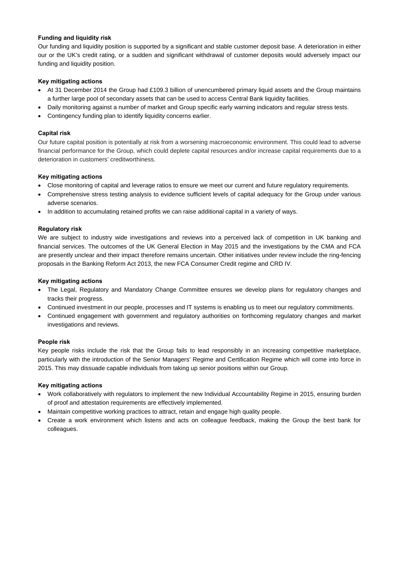## **Funding and liquidity risk**

Our funding and liquidity position is supported by a significant and stable customer deposit base. A deterioration in either our or the UK's credit rating, or a sudden and significant withdrawal of customer deposits would adversely impact our funding and liquidity position.

## **Key mitigating actions**

- At 31 December 2014 the Group had £109.3 billion of unencumbered primary liquid assets and the Group maintains a further large pool of secondary assets that can be used to access Central Bank liquidity facilities.
- Daily monitoring against a number of market and Group specific early warning indicators and regular stress tests.
- Contingency funding plan to identify liquidity concerns earlier.

## **Capital risk**

Our future capital position is potentially at risk from a worsening macroeconomic environment. This could lead to adverse financial performance for the Group, which could deplete capital resources and/or increase capital requirements due to a deterioration in customers' creditworthiness.

### **Key mitigating actions**

- Close monitoring of capital and leverage ratios to ensure we meet our current and future regulatory requirements.
- Comprehensive stress testing analysis to evidence sufficient levels of capital adequacy for the Group under various adverse scenarios.
- In addition to accumulating retained profits we can raise additional capital in a variety of ways.

## **Regulatory risk**

We are subject to industry wide investigations and reviews into a perceived lack of competition in UK banking and financial services. The outcomes of the UK General Election in May 2015 and the investigations by the CMA and FCA are presently unclear and their impact therefore remains uncertain. Other initiatives under review include the ring-fencing proposals in the Banking Reform Act 2013, the new FCA Consumer Credit regime and CRD IV.

### **Key mitigating actions**

- The Legal, Regulatory and Mandatory Change Committee ensures we develop plans for regulatory changes and tracks their progress.
- Continued investment in our people, processes and IT systems is enabling us to meet our regulatory commitments.
- Continued engagement with government and regulatory authorities on forthcoming regulatory changes and market investigations and reviews.

### **People risk**

Key people risks include the risk that the Group fails to lead responsibly in an increasing competitive marketplace, particularly with the introduction of the Senior Managers' Regime and Certification Regime which will come into force in 2015. This may dissuade capable individuals from taking up senior positions within our Group.

### **Key mitigating actions**

- Work collaboratively with regulators to implement the new Individual Accountability Regime in 2015, ensuring burden of proof and attestation requirements are effectively implemented.
- Maintain competitive working practices to attract, retain and engage high quality people.
- Create a work environment which listens and acts on colleague feedback, making the Group the best bank for colleagues.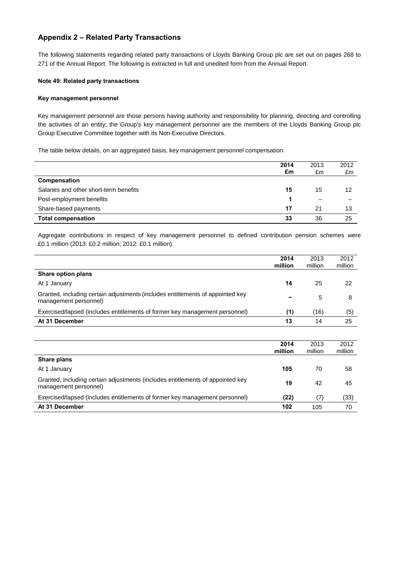## **Appendix 2 – Related Party Transactions**

The following statements regarding related party transactions of Lloyds Banking Group plc are set out on pages 268 to 271 of the Annual Report. The following is extracted in full and unedited form from the Annual Report.

#### **Note 49: Related party transactions**

#### **Key management personnel**

Key management personnel are those persons having authority and responsibility for planning, directing and controlling the activities of an entity; the Group's key management personnel are the members of the Lloyds Banking Group plc Group Executive Committee together with its Non-Executive Directors.

The table below details, on an aggregated basis, key management personnel compensation:

|                                        | 2014<br>£m | 2013<br>£m | 2012<br>£m |
|----------------------------------------|------------|------------|------------|
| Compensation                           |            |            |            |
| Salaries and other short-term benefits | 15         | 15         | 12         |
| Post-employment benefits               |            | -          |            |
| Share-based payments                   | 17         | 21         | 13         |
| <b>Total compensation</b>              | 33         | 36         | 25         |

Aggregate contributions in respect of key management personnel to defined contribution pension schemes were £0.1 million (2013: £0.2 million; 2012: £0.1 million).

|                                                                                                         | 2014<br>million | 2013<br>million | 2012<br>million |
|---------------------------------------------------------------------------------------------------------|-----------------|-----------------|-----------------|
| Share option plans                                                                                      |                 |                 |                 |
| At 1 January                                                                                            | 14              | 25              | 22              |
| Granted, including certain adjustments (includes entitlements of appointed key<br>management personnel) |                 | 5               | 8               |
| Exercised/lapsed (includes entitlements of former key management personnel)                             | (1)             | (16)            | (5)             |
| At 31 December                                                                                          | 13              | 14              | 25              |

|                                                                                                         | 2014<br>million | 2013<br>million | 2012<br>million |
|---------------------------------------------------------------------------------------------------------|-----------------|-----------------|-----------------|
| Share plans                                                                                             |                 |                 |                 |
| At 1 January                                                                                            | 105             | 70              | 58              |
| Granted, including certain adjustments (includes entitlements of appointed key<br>management personnel) | 19              | 42              | 45              |
| Exercised/lapsed (includes entitlements of former key management personnel)                             | (22)            | (7)             | (33)            |
| At 31 December                                                                                          | 102             | 105             | 70              |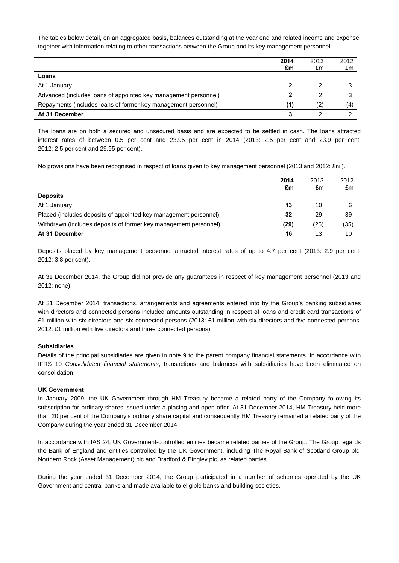The tables below detail, on an aggregated basis, balances outstanding at the year end and related income and expense, together with information relating to other transactions between the Group and its key management personnel:

|                                                                 | 2014<br>£m | 2013<br>£m | 2012<br>£m |
|-----------------------------------------------------------------|------------|------------|------------|
| Loans                                                           |            |            |            |
| At 1 January                                                    |            |            |            |
| Advanced (includes loans of appointed key management personnel) |            |            |            |
| Repayments (includes loans of former key management personnel)  | (1)        | (2)        | (4)        |
| At 31 December                                                  |            |            |            |

The loans are on both a secured and unsecured basis and are expected to be settled in cash. The loans attracted interest rates of between 0.5 per cent and 23.95 per cent in 2014 (2013: 2.5 per cent and 23.9 per cent; 2012: 2.5 per cent and 29.95 per cent).

No provisions have been recognised in respect of loans given to key management personnel (2013 and 2012: £nil).

|                                                                  | 2014<br>£m | 2013<br>£m | 2012<br>£m |
|------------------------------------------------------------------|------------|------------|------------|
| <b>Deposits</b>                                                  |            |            |            |
| At 1 January                                                     | 13         | 10         | 6          |
| Placed (includes deposits of appointed key management personnel) | 32         | 29         | 39         |
| Withdrawn (includes deposits of former key management personnel) | (29)       | (26)       | (35)       |
| At 31 December                                                   | 16         | 13         | 10         |

Deposits placed by key management personnel attracted interest rates of up to 4.7 per cent (2013: 2.9 per cent; 2012: 3.8 per cent).

At 31 December 2014, the Group did not provide any guarantees in respect of key management personnel (2013 and 2012: none).

At 31 December 2014, transactions, arrangements and agreements entered into by the Group's banking subsidiaries with directors and connected persons included amounts outstanding in respect of loans and credit card transactions of £1 million with six directors and six connected persons (2013: £1 million with six directors and five connected persons; 2012: £1 million with five directors and three connected persons).

### **Subsidiaries**

Details of the principal subsidiaries are given in note 9 to the parent company financial statements. In accordance with IFRS 10 *Consolidated financial statements*, transactions and balances with subsidiaries have been eliminated on consolidation.

#### **UK Government**

In January 2009, the UK Government through HM Treasury became a related party of the Company following its subscription for ordinary shares issued under a placing and open offer. At 31 December 2014, HM Treasury held more than 20 per cent of the Company's ordinary share capital and consequently HM Treasury remained a related party of the Company during the year ended 31 December 2014.

In accordance with IAS 24, UK Government-controlled entities became related parties of the Group. The Group regards the Bank of England and entities controlled by the UK Government, including The Royal Bank of Scotland Group plc, Northern Rock (Asset Management) plc and Bradford & Bingley plc, as related parties.

During the year ended 31 December 2014, the Group participated in a number of schemes operated by the UK Government and central banks and made available to eligible banks and building societies.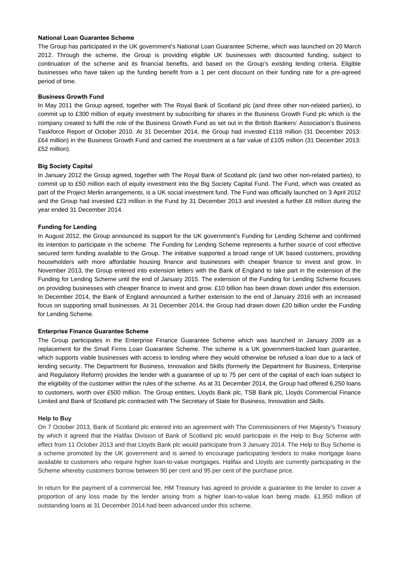#### **National Loan Guarantee Scheme**

The Group has participated in the UK government's National Loan Guarantee Scheme, which was launched on 20 March 2012. Through the scheme, the Group is providing eligible UK businesses with discounted funding, subject to continuation of the scheme and its financial benefits, and based on the Group's existing lending criteria. Eligible businesses who have taken up the funding benefit from a 1 per cent discount on their funding rate for a pre-agreed period of time.

#### **Business Growth Fund**

In May 2011 the Group agreed, together with The Royal Bank of Scotland plc (and three other non-related parties), to commit up to £300 million of equity investment by subscribing for shares in the Business Growth Fund plc which is the company created to fulfil the role of the Business Growth Fund as set out in the British Bankers' Association's Business Taskforce Report of October 2010. At 31 December 2014, the Group had invested £118 million (31 December 2013: £64 million) in the Business Growth Fund and carried the investment at a fair value of £105 million (31 December 2013: £52 million).

#### **Big Society Capital**

In January 2012 the Group agreed, together with The Royal Bank of Scotland plc (and two other non-related parties), to commit up to £50 million each of equity investment into the Big Society Capital Fund. The Fund, which was created as part of the Project Merlin arrangements, is a UK social investment fund. The Fund was officially launched on 3 April 2012 and the Group had invested £23 million in the Fund by 31 December 2013 and invested a further £8 million during the year ended 31 December 2014.

#### **Funding for Lending**

In August 2012, the Group announced its support for the UK government's Funding for Lending Scheme and confirmed its intention to participate in the scheme. The Funding for Lending Scheme represents a further source of cost effective secured term funding available to the Group. The initiative supported a broad range of UK based customers, providing householders with more affordable housing finance and businesses with cheaper finance to invest and grow. In November 2013, the Group entered into extension letters with the Bank of England to take part in the extension of the Funding for Lending Scheme until the end of January 2015. The extension of the Funding for Lending Scheme focuses on providing businesses with cheaper finance to invest and grow. £10 billion has been drawn down under this extension. In December 2014, the Bank of England announced a further extension to the end of January 2016 with an increased focus on supporting small businesses. At 31 December 2014, the Group had drawn down £20 billion under the Funding for Lending Scheme.

#### **Enterprise Finance Guarantee Scheme**

The Group participates in the Enterprise Finance Guarantee Scheme which was launched in January 2009 as a replacement for the Small Firms Loan Guarantee Scheme. The scheme is a UK government-backed loan guarantee, which supports viable businesses with access to lending where they would otherwise be refused a loan due to a lack of lending security. The Department for Business, Innovation and Skills (formerly the Department for Business, Enterprise and Regulatory Reform) provides the lender with a guarantee of up to 75 per cent of the capital of each loan subject to the eligibility of the customer within the rules of the scheme. As at 31 December 2014, the Group had offered 6,250 loans to customers, worth over £500 million. The Group entities, Lloyds Bank plc, TSB Bank plc, Lloyds Commercial Finance Limited and Bank of Scotland plc contracted with The Secretary of State for Business, Innovation and Skills.

#### **Help to Buy**

On 7 October 2013, Bank of Scotland plc entered into an agreement with The Commissioners of Her Majesty's Treasury by which it agreed that the Halifax Division of Bank of Scotland plc would participate in the Help to Buy Scheme with effect from 11 October 2013 and that Lloyds Bank plc would participate from 3 January 2014. The Help to Buy Scheme is a scheme promoted by the UK government and is aimed to encourage participating lenders to make mortgage loans available to customers who require higher loan-to-value mortgages. Halifax and Lloyds are currently participating in the Scheme whereby customers borrow between 90 per cent and 95 per cent of the purchase price.

In return for the payment of a commercial fee, HM Treasury has agreed to provide a guarantee to the lender to cover a proportion of any loss made by the lender arising from a higher loan-to-value loan being made. £1,950 million of outstanding loans at 31 December 2014 had been advanced under this scheme.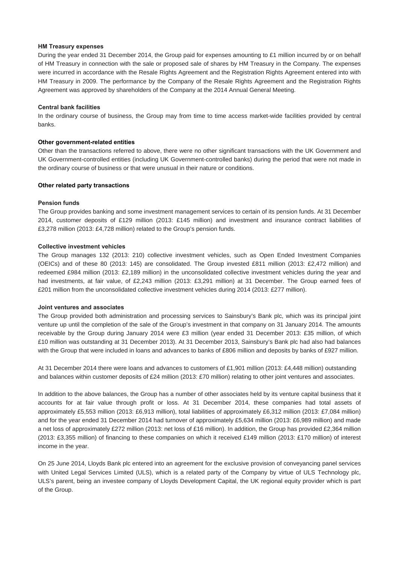#### **HM Treasury expenses**

During the year ended 31 December 2014, the Group paid for expenses amounting to £1 million incurred by or on behalf of HM Treasury in connection with the sale or proposed sale of shares by HM Treasury in the Company. The expenses were incurred in accordance with the Resale Rights Agreement and the Registration Rights Agreement entered into with HM Treasury in 2009. The performance by the Company of the Resale Rights Agreement and the Registration Rights Agreement was approved by shareholders of the Company at the 2014 Annual General Meeting.

#### **Central bank facilities**

In the ordinary course of business, the Group may from time to time access market-wide facilities provided by central banks.

#### **Other government-related entities**

Other than the transactions referred to above, there were no other significant transactions with the UK Government and UK Government-controlled entities (including UK Government-controlled banks) during the period that were not made in the ordinary course of business or that were unusual in their nature or conditions.

#### **Other related party transactions**

#### **Pension funds**

The Group provides banking and some investment management services to certain of its pension funds. At 31 December 2014, customer deposits of £129 million (2013: £145 million) and investment and insurance contract liabilities of £3,278 million (2013: £4,728 million) related to the Group's pension funds.

#### **Collective investment vehicles**

The Group manages 132 (2013: 210) collective investment vehicles, such as Open Ended Investment Companies (OEICs) and of these 80 (2013: 145) are consolidated. The Group invested £811 million (2013: £2,472 million) and redeemed £984 million (2013: £2,189 million) in the unconsolidated collective investment vehicles during the year and had investments, at fair value, of £2,243 million (2013: £3,291 million) at 31 December. The Group earned fees of £201 million from the unconsolidated collective investment vehicles during 2014 (2013: £277 million).

#### **Joint ventures and associates**

The Group provided both administration and processing services to Sainsbury's Bank plc, which was its principal joint venture up until the completion of the sale of the Group's investment in that company on 31 January 2014. The amounts receivable by the Group during January 2014 were £3 million (year ended 31 December 2013: £35 million, of which £10 million was outstanding at 31 December 2013). At 31 December 2013, Sainsbury's Bank plc had also had balances with the Group that were included in loans and advances to banks of £806 million and deposits by banks of £927 million.

At 31 December 2014 there were loans and advances to customers of £1,901 million (2013: £4,448 million) outstanding and balances within customer deposits of £24 million (2013: £70 million) relating to other joint ventures and associates.

In addition to the above balances, the Group has a number of other associates held by its venture capital business that it accounts for at fair value through profit or loss. At 31 December 2014, these companies had total assets of approximately £5,553 million (2013: £6,913 million), total liabilities of approximately £6,312 million (2013: £7,084 million) and for the year ended 31 December 2014 had turnover of approximately £5,634 million (2013: £6,989 million) and made a net loss of approximately £272 million (2013: net loss of £16 million). In addition, the Group has provided £2,364 million (2013: £3,355 million) of financing to these companies on which it received £149 million (2013: £170 million) of interest income in the year.

On 25 June 2014, Lloyds Bank plc entered into an agreement for the exclusive provision of conveyancing panel services with United Legal Services Limited (ULS), which is a related party of the Company by virtue of ULS Technology plc, ULS's parent, being an investee company of Lloyds Development Capital, the UK regional equity provider which is part of the Group.